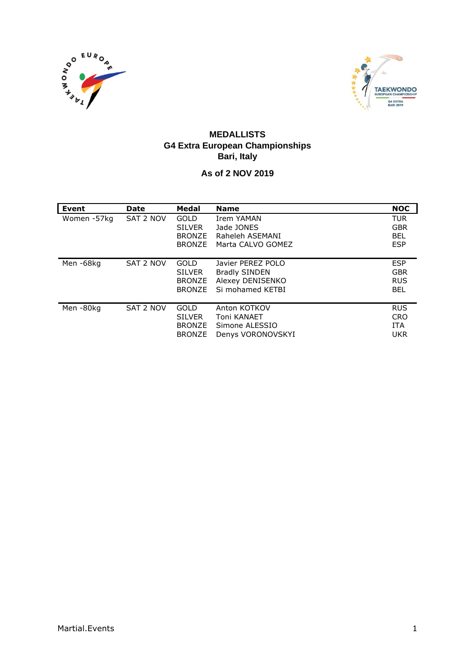



#### **MEDALLISTS G4 Extra European Championships Bari, Italy**

#### **As of 2 NOV 2019**

| Event       | <b>Date</b> | Medal         | <b>Name</b>          | <b>NOC</b> |
|-------------|-------------|---------------|----------------------|------------|
| Women -57kg | SAT 2 NOV   | <b>GOLD</b>   | Irem YAMAN           | TUR        |
|             |             | <b>SILVER</b> | Jade JONES           | <b>GBR</b> |
|             |             | <b>BRONZE</b> | Raheleh ASEMANI      | <b>BEL</b> |
|             |             | <b>BRONZE</b> | Marta CALVO GOMEZ    | <b>ESP</b> |
|             |             |               |                      |            |
| Men-68kg    | SAT 2 NOV   | GOLD          | Javier PEREZ POLO    | <b>ESP</b> |
|             |             | <b>SILVER</b> | <b>Bradly SINDEN</b> | <b>GBR</b> |
|             |             | <b>BRONZE</b> | Alexey DENISENKO     | <b>RUS</b> |
|             |             | <b>BRONZE</b> | Si mohamed KETBI     | <b>BEL</b> |
|             |             |               |                      |            |
| Men-80kg    | SAT 2 NOV   | <b>GOLD</b>   | Anton KOTKOV         | <b>RUS</b> |
|             |             | <b>SILVER</b> | Toni KANAET          | <b>CRO</b> |
|             |             | <b>BRONZE</b> | Simone ALESSIO       | <b>ITA</b> |
|             |             | <b>BRONZE</b> | Denys VORONOVSKYI    | <b>UKR</b> |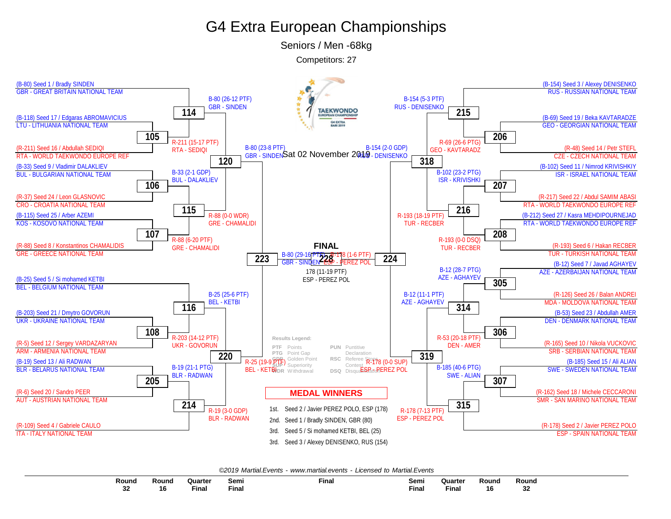# G4 Extra European Championships

Seniors / Men -68kg

Competitors: 27



*©2019 Martial.Events - [www.martial.events](http://www.martial.events) - Licensed to Martial.Events*

| Round<br>$\qquad \qquad \cdots$ | Round    | Quarter      | Semi          | Final | Semi<br>$ -$ | <b>Quarter</b> | Rounc | Round       |
|---------------------------------|----------|--------------|---------------|-------|--------------|----------------|-------|-------------|
| <br>JZ                          | 40<br>10 | <b>Final</b> | ، موت<br>тша. |       | Final        | --<br>Fina     | 16    | $\sim$<br>◡ |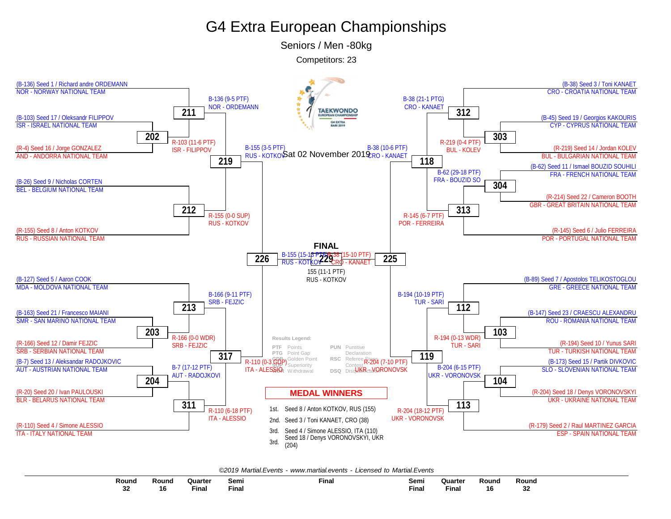# G4 Extra European Championships

Seniors / Men -80kg

Competitors: 23



*©2019 Martial.Events - [www.martial.events](http://www.martial.events) - Licensed to Martial.Events*

| Round         | Round | Quarter | Sem.  | <b>Final</b> | Semi  | Quarter | Round | Round |
|---------------|-------|---------|-------|--------------|-------|---------|-------|-------|
|               |       |         |       |              | $  -$ |         |       |       |
| $\sim$<br>-94 | 16    | Final   | Final |              | Final | Fina.   | 16    |       |